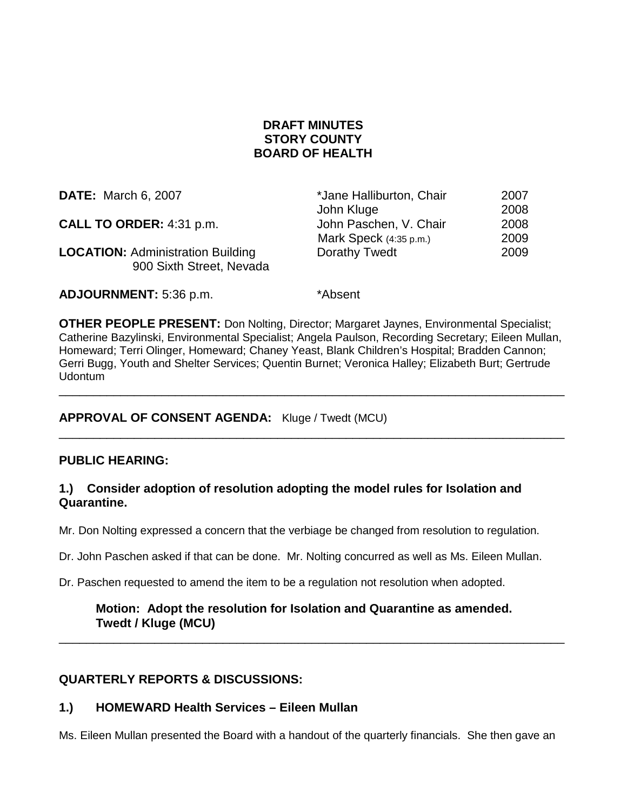# **DRAFT MINUTES STORY COUNTY BOARD OF HEALTH**

| <b>DATE:</b> March 6, 2007                                           | *Jane Halliburton, Chair | 2007 |
|----------------------------------------------------------------------|--------------------------|------|
|                                                                      | John Kluge               | 2008 |
| CALL TO ORDER: 4:31 p.m.                                             | John Paschen, V. Chair   | 2008 |
|                                                                      | Mark Speck (4:35 p.m.)   | 2009 |
| <b>LOCATION: Administration Building</b><br>900 Sixth Street, Nevada | Dorathy Twedt            | 2009 |
|                                                                      |                          |      |

**ADJOURNMENT:** 5:36 p.m. \*Absent

**OTHER PEOPLE PRESENT:** Don Nolting, Director; Margaret Jaynes, Environmental Specialist; Catherine Bazylinski, Environmental Specialist; Angela Paulson, Recording Secretary; Eileen Mullan, Homeward; Terri Olinger, Homeward; Chaney Yeast, Blank Children's Hospital; Bradden Cannon; Gerri Bugg, Youth and Shelter Services; Quentin Burnet; Veronica Halley; Elizabeth Burt; Gertrude Udontum

\_\_\_\_\_\_\_\_\_\_\_\_\_\_\_\_\_\_\_\_\_\_\_\_\_\_\_\_\_\_\_\_\_\_\_\_\_\_\_\_\_\_\_\_\_\_\_\_\_\_\_\_\_\_\_\_\_\_\_\_\_\_\_\_\_\_\_\_\_\_\_\_\_\_

\_\_\_\_\_\_\_\_\_\_\_\_\_\_\_\_\_\_\_\_\_\_\_\_\_\_\_\_\_\_\_\_\_\_\_\_\_\_\_\_\_\_\_\_\_\_\_\_\_\_\_\_\_\_\_\_\_\_\_\_\_\_\_\_\_\_\_\_\_\_\_\_\_\_

## **APPROVAL OF CONSENT AGENDA:** Kluge / Twedt (MCU)

## **PUBLIC HEARING:**

### **1.) Consider adoption of resolution adopting the model rules for Isolation and Quarantine.**

Mr. Don Nolting expressed a concern that the verbiage be changed from resolution to regulation.

Dr. John Paschen asked if that can be done. Mr. Nolting concurred as well as Ms. Eileen Mullan.

Dr. Paschen requested to amend the item to be a regulation not resolution when adopted.

### **Motion: Adopt the resolution for Isolation and Quarantine as amended. Twedt / Kluge (MCU)**

\_\_\_\_\_\_\_\_\_\_\_\_\_\_\_\_\_\_\_\_\_\_\_\_\_\_\_\_\_\_\_\_\_\_\_\_\_\_\_\_\_\_\_\_\_\_\_\_\_\_\_\_\_\_\_\_\_\_\_\_\_\_\_\_\_\_\_\_\_\_\_\_\_\_

## **QUARTERLY REPORTS & DISCUSSIONS:**

## **1.) HOMEWARD Health Services – Eileen Mullan**

Ms. Eileen Mullan presented the Board with a handout of the quarterly financials. She then gave an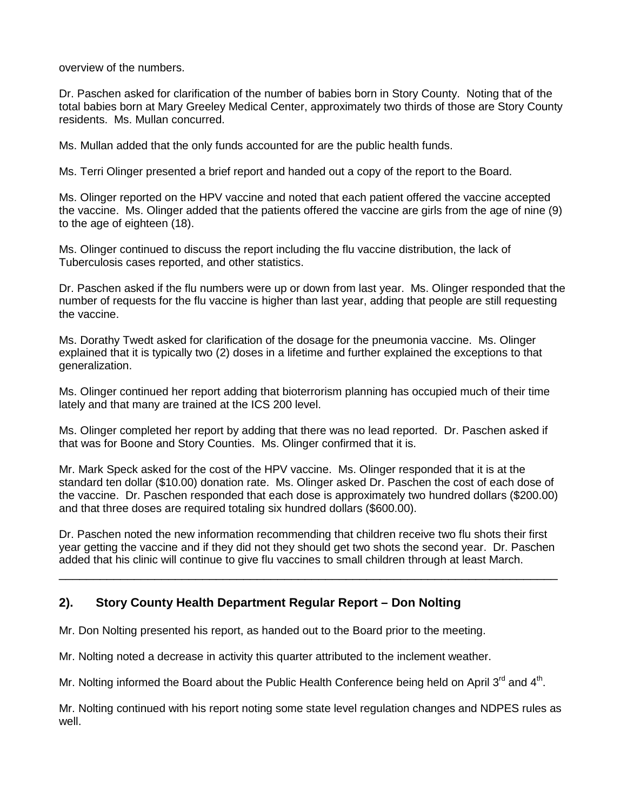overview of the numbers.

Dr. Paschen asked for clarification of the number of babies born in Story County. Noting that of the total babies born at Mary Greeley Medical Center, approximately two thirds of those are Story County residents. Ms. Mullan concurred.

Ms. Mullan added that the only funds accounted for are the public health funds.

Ms. Terri Olinger presented a brief report and handed out a copy of the report to the Board.

Ms. Olinger reported on the HPV vaccine and noted that each patient offered the vaccine accepted the vaccine. Ms. Olinger added that the patients offered the vaccine are girls from the age of nine (9) to the age of eighteen (18).

Ms. Olinger continued to discuss the report including the flu vaccine distribution, the lack of Tuberculosis cases reported, and other statistics.

Dr. Paschen asked if the flu numbers were up or down from last year. Ms. Olinger responded that the number of requests for the flu vaccine is higher than last year, adding that people are still requesting the vaccine.

Ms. Dorathy Twedt asked for clarification of the dosage for the pneumonia vaccine. Ms. Olinger explained that it is typically two (2) doses in a lifetime and further explained the exceptions to that generalization.

Ms. Olinger continued her report adding that bioterrorism planning has occupied much of their time lately and that many are trained at the ICS 200 level.

Ms. Olinger completed her report by adding that there was no lead reported. Dr. Paschen asked if that was for Boone and Story Counties. Ms. Olinger confirmed that it is.

Mr. Mark Speck asked for the cost of the HPV vaccine. Ms. Olinger responded that it is at the standard ten dollar (\$10.00) donation rate. Ms. Olinger asked Dr. Paschen the cost of each dose of the vaccine. Dr. Paschen responded that each dose is approximately two hundred dollars (\$200.00) and that three doses are required totaling six hundred dollars (\$600.00).

Dr. Paschen noted the new information recommending that children receive two flu shots their first year getting the vaccine and if they did not they should get two shots the second year. Dr. Paschen added that his clinic will continue to give flu vaccines to small children through at least March.

\_\_\_\_\_\_\_\_\_\_\_\_\_\_\_\_\_\_\_\_\_\_\_\_\_\_\_\_\_\_\_\_\_\_\_\_\_\_\_\_\_\_\_\_\_\_\_\_\_\_\_\_\_\_\_\_\_\_\_\_\_\_\_\_\_\_\_\_\_\_\_\_\_

# **2). Story County Health Department Regular Report – Don Nolting**

Mr. Don Nolting presented his report, as handed out to the Board prior to the meeting.

Mr. Nolting noted a decrease in activity this quarter attributed to the inclement weather.

Mr. Nolting informed the Board about the Public Health Conference being held on April  $3^{rd}$  and  $4^{th}$ .

Mr. Nolting continued with his report noting some state level regulation changes and NDPES rules as well.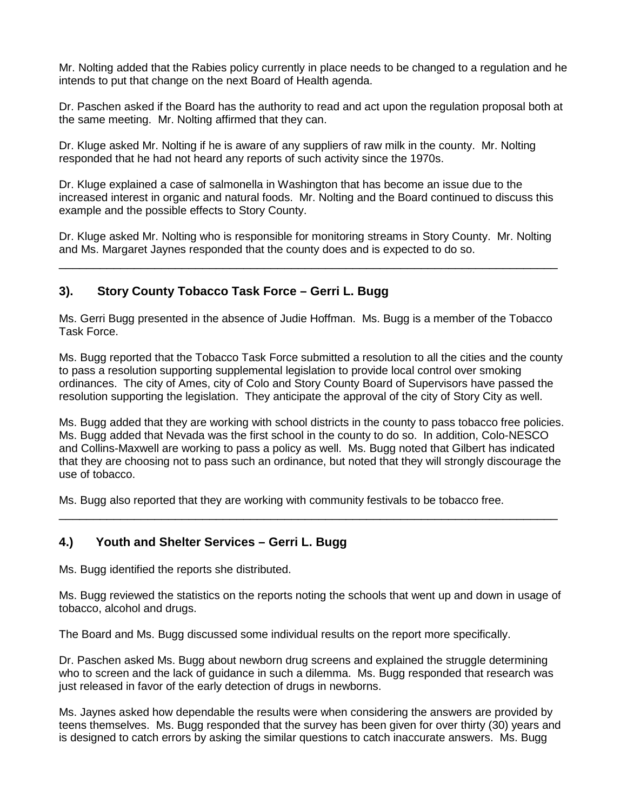Mr. Nolting added that the Rabies policy currently in place needs to be changed to a regulation and he intends to put that change on the next Board of Health agenda.

Dr. Paschen asked if the Board has the authority to read and act upon the regulation proposal both at the same meeting. Mr. Nolting affirmed that they can.

Dr. Kluge asked Mr. Nolting if he is aware of any suppliers of raw milk in the county. Mr. Nolting responded that he had not heard any reports of such activity since the 1970s.

Dr. Kluge explained a case of salmonella in Washington that has become an issue due to the increased interest in organic and natural foods. Mr. Nolting and the Board continued to discuss this example and the possible effects to Story County.

Dr. Kluge asked Mr. Nolting who is responsible for monitoring streams in Story County. Mr. Nolting and Ms. Margaret Jaynes responded that the county does and is expected to do so.

\_\_\_\_\_\_\_\_\_\_\_\_\_\_\_\_\_\_\_\_\_\_\_\_\_\_\_\_\_\_\_\_\_\_\_\_\_\_\_\_\_\_\_\_\_\_\_\_\_\_\_\_\_\_\_\_\_\_\_\_\_\_\_\_\_\_\_\_\_\_\_\_\_

## **3). Story County Tobacco Task Force – Gerri L. Bugg**

Ms. Gerri Bugg presented in the absence of Judie Hoffman. Ms. Bugg is a member of the Tobacco Task Force.

Ms. Bugg reported that the Tobacco Task Force submitted a resolution to all the cities and the county to pass a resolution supporting supplemental legislation to provide local control over smoking ordinances. The city of Ames, city of Colo and Story County Board of Supervisors have passed the resolution supporting the legislation. They anticipate the approval of the city of Story City as well.

Ms. Bugg added that they are working with school districts in the county to pass tobacco free policies. Ms. Bugg added that Nevada was the first school in the county to do so. In addition, Colo-NESCO and Collins-Maxwell are working to pass a policy as well. Ms. Bugg noted that Gilbert has indicated that they are choosing not to pass such an ordinance, but noted that they will strongly discourage the use of tobacco.

\_\_\_\_\_\_\_\_\_\_\_\_\_\_\_\_\_\_\_\_\_\_\_\_\_\_\_\_\_\_\_\_\_\_\_\_\_\_\_\_\_\_\_\_\_\_\_\_\_\_\_\_\_\_\_\_\_\_\_\_\_\_\_\_\_\_\_\_\_\_\_\_\_

Ms. Bugg also reported that they are working with community festivals to be tobacco free.

#### **4.) Youth and Shelter Services – Gerri L. Bugg**

Ms. Bugg identified the reports she distributed.

Ms. Bugg reviewed the statistics on the reports noting the schools that went up and down in usage of tobacco, alcohol and drugs.

The Board and Ms. Bugg discussed some individual results on the report more specifically.

Dr. Paschen asked Ms. Bugg about newborn drug screens and explained the struggle determining who to screen and the lack of guidance in such a dilemma. Ms. Bugg responded that research was just released in favor of the early detection of drugs in newborns.

Ms. Jaynes asked how dependable the results were when considering the answers are provided by teens themselves. Ms. Bugg responded that the survey has been given for over thirty (30) years and is designed to catch errors by asking the similar questions to catch inaccurate answers. Ms. Bugg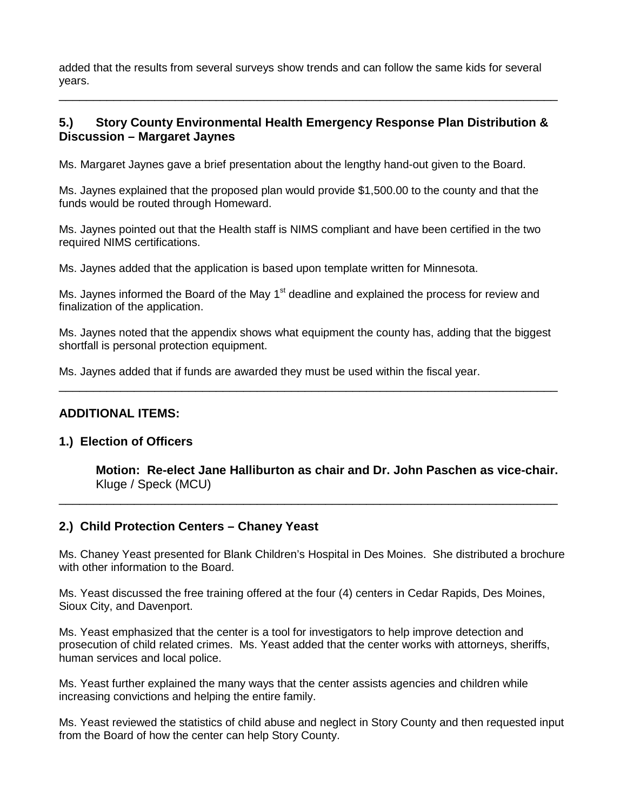added that the results from several surveys show trends and can follow the same kids for several years.

# **5.) Story County Environmental Health Emergency Response Plan Distribution & Discussion – Margaret Jaynes**

\_\_\_\_\_\_\_\_\_\_\_\_\_\_\_\_\_\_\_\_\_\_\_\_\_\_\_\_\_\_\_\_\_\_\_\_\_\_\_\_\_\_\_\_\_\_\_\_\_\_\_\_\_\_\_\_\_\_\_\_\_\_\_\_\_\_\_\_\_\_\_\_\_

Ms. Margaret Jaynes gave a brief presentation about the lengthy hand-out given to the Board.

Ms. Jaynes explained that the proposed plan would provide \$1,500.00 to the county and that the funds would be routed through Homeward.

Ms. Jaynes pointed out that the Health staff is NIMS compliant and have been certified in the two required NIMS certifications.

Ms. Jaynes added that the application is based upon template written for Minnesota.

Ms. Jaynes informed the Board of the May 1<sup>st</sup> deadline and explained the process for review and finalization of the application.

Ms. Jaynes noted that the appendix shows what equipment the county has, adding that the biggest shortfall is personal protection equipment.

\_\_\_\_\_\_\_\_\_\_\_\_\_\_\_\_\_\_\_\_\_\_\_\_\_\_\_\_\_\_\_\_\_\_\_\_\_\_\_\_\_\_\_\_\_\_\_\_\_\_\_\_\_\_\_\_\_\_\_\_\_\_\_\_\_\_\_\_\_\_\_\_\_

Ms. Jaynes added that if funds are awarded they must be used within the fiscal year.

#### **ADDITIONAL ITEMS:**

#### **1.) Election of Officers**

**Motion: Re-elect Jane Halliburton as chair and Dr. John Paschen as vice-chair.** Kluge / Speck (MCU)

#### **2.) Child Protection Centers – Chaney Yeast**

Ms. Chaney Yeast presented for Blank Children's Hospital in Des Moines. She distributed a brochure with other information to the Board.

\_\_\_\_\_\_\_\_\_\_\_\_\_\_\_\_\_\_\_\_\_\_\_\_\_\_\_\_\_\_\_\_\_\_\_\_\_\_\_\_\_\_\_\_\_\_\_\_\_\_\_\_\_\_\_\_\_\_\_\_\_\_\_\_\_\_\_\_\_\_\_\_\_

Ms. Yeast discussed the free training offered at the four (4) centers in Cedar Rapids, Des Moines, Sioux City, and Davenport.

Ms. Yeast emphasized that the center is a tool for investigators to help improve detection and prosecution of child related crimes. Ms. Yeast added that the center works with attorneys, sheriffs, human services and local police.

Ms. Yeast further explained the many ways that the center assists agencies and children while increasing convictions and helping the entire family.

Ms. Yeast reviewed the statistics of child abuse and neglect in Story County and then requested input from the Board of how the center can help Story County.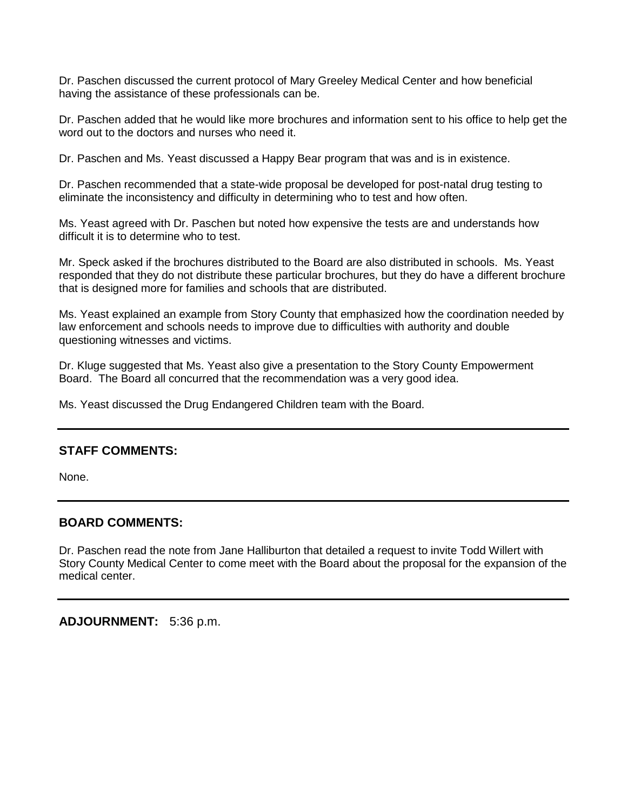Dr. Paschen discussed the current protocol of Mary Greeley Medical Center and how beneficial having the assistance of these professionals can be.

Dr. Paschen added that he would like more brochures and information sent to his office to help get the word out to the doctors and nurses who need it.

Dr. Paschen and Ms. Yeast discussed a Happy Bear program that was and is in existence.

Dr. Paschen recommended that a state-wide proposal be developed for post-natal drug testing to eliminate the inconsistency and difficulty in determining who to test and how often.

Ms. Yeast agreed with Dr. Paschen but noted how expensive the tests are and understands how difficult it is to determine who to test.

Mr. Speck asked if the brochures distributed to the Board are also distributed in schools. Ms. Yeast responded that they do not distribute these particular brochures, but they do have a different brochure that is designed more for families and schools that are distributed.

Ms. Yeast explained an example from Story County that emphasized how the coordination needed by law enforcement and schools needs to improve due to difficulties with authority and double questioning witnesses and victims.

Dr. Kluge suggested that Ms. Yeast also give a presentation to the Story County Empowerment Board. The Board all concurred that the recommendation was a very good idea.

Ms. Yeast discussed the Drug Endangered Children team with the Board.

#### **STAFF COMMENTS:**

None.

## **BOARD COMMENTS:**

Dr. Paschen read the note from Jane Halliburton that detailed a request to invite Todd Willert with Story County Medical Center to come meet with the Board about the proposal for the expansion of the medical center.

**ADJOURNMENT:** 5:36 p.m.